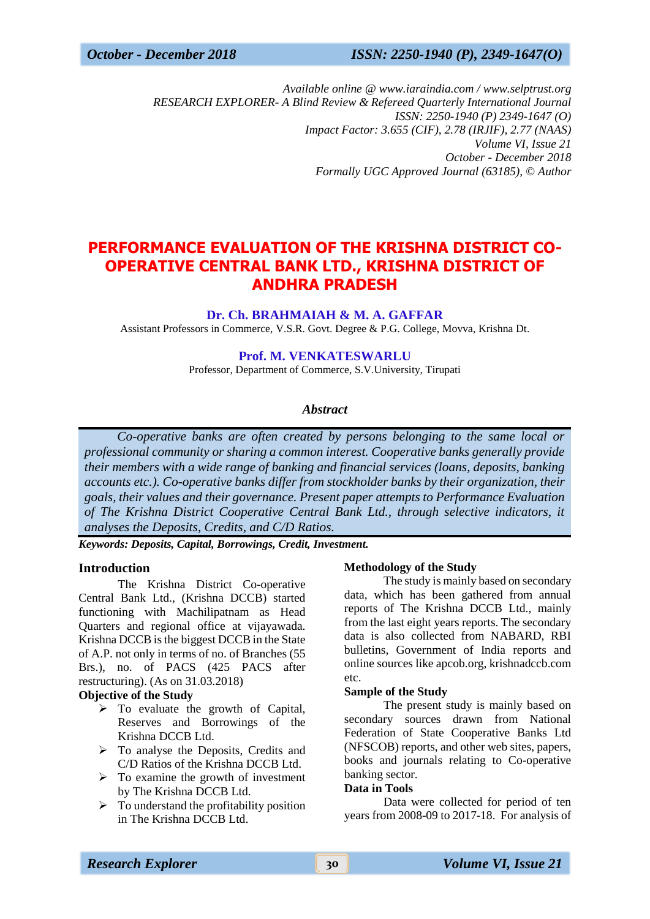*October - December 2018 ISSN: 2250-1940 (P), 2349-1647(O)*

*Available online @ www.iaraindia.com / www.selptrust.org RESEARCH EXPLORER- A Blind Review & Refereed Quarterly International Journal ISSN: 2250-1940 (P) 2349-1647 (O) Impact Factor: 3.655 (CIF), 2.78 (IRJIF), 2.77 (NAAS) Volume VI, Issue 21 October - December 2018 Formally UGC Approved Journal (63185),* © *Author*

# **PERFORMANCE EVALUATION OF THE KRISHNA DISTRICT CO-OPERATIVE CENTRAL BANK LTD., KRISHNA DISTRICT OF ANDHRA PRADESH**

# **Dr. Ch. BRAHMAIAH & M. A. GAFFAR**

Assistant Professors in Commerce, V.S.R. Govt. Degree & P.G. College, Movva, Krishna Dt.

# **Prof. M. VENKATESWARLU**

Professor, Department of Commerce, S.V.University, Tirupati

# *Abstract*

 *Co-operative banks are often created by persons belonging to the same local or professional community or sharing a common interest. Cooperative banks generally provide their members with a wide range of banking and financial services (loans, deposits, banking accounts etc.). Co-operative banks differ from stockholder banks by their organization, their goals, their values and their governance. Present paper attempts to Performance Evaluation of The Krishna District Cooperative Central Bank Ltd., through selective indicators, it analyses the Deposits, Credits, and C/D Ratios.*

*Keywords: Deposits, Capital, Borrowings, Credit, Investment.*

# **Introduction**

The Krishna District Co-operative Central Bank Ltd., (Krishna DCCB) started functioning with Machilipatnam as Head Quarters and regional office at vijayawada. Krishna DCCB is the biggest DCCB in the State of A.P. not only in terms of no. of Branches (55 Brs.), no. of PACS (425 PACS after restructuring). (As on 31.03.2018)

## **Objective of the Study**

- $\triangleright$  To evaluate the growth of Capital, Reserves and Borrowings of the Krishna DCCB Ltd.
- $\triangleright$  To analyse the Deposits, Credits and C/D Ratios of the Krishna DCCB Ltd.
- $\triangleright$  To examine the growth of investment by The Krishna DCCB Ltd.
- $\triangleright$  To understand the profitability position in The Krishna DCCB Ltd.

# **Methodology of the Study**

The study is mainly based on secondary data, which has been gathered from annual reports of The Krishna DCCB Ltd., mainly from the last eight years reports. The secondary data is also collected from NABARD, RBI bulletins, Government of India reports and online sources like apcob.org, krishnadccb.com etc.

### **Sample of the Study**

The present study is mainly based on secondary sources drawn from National Federation of State Cooperative Banks Ltd (NFSCOB) reports, and other web sites, papers, books and journals relating to Co-operative banking sector.

# **Data in Tools**

Data were collected for period of ten years from 2008-09 to 2017-18. For analysis of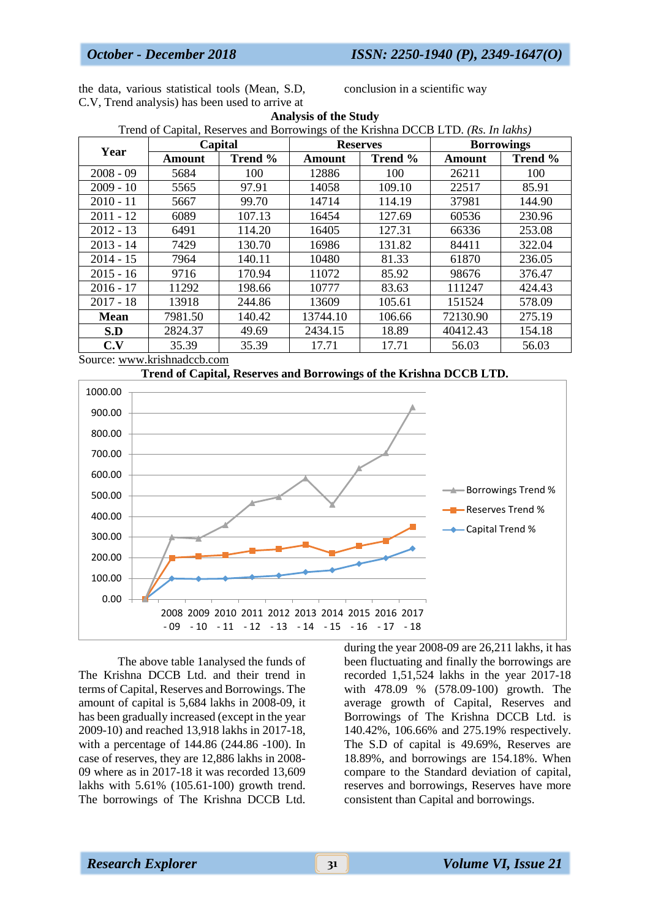the data, various statistical tools (Mean, S.D, C.V, Trend analysis) has been used to arrive at

conclusion in a scientific way

| <b>Analysis of the Study</b>                                                      |         |         |                 |         |                   |         |
|-----------------------------------------------------------------------------------|---------|---------|-----------------|---------|-------------------|---------|
| Trend of Capital, Reserves and Borrowings of the Krishna DCCB LTD. (Rs. In lakhs) |         |         |                 |         |                   |         |
| Year                                                                              | Capital |         | <b>Reserves</b> |         | <b>Borrowings</b> |         |
|                                                                                   | Amount  | Trend % | Amount          | Trend % | Amount            | Trend % |
| $2008 - 09$                                                                       | 5684    | 100     | 12886           | 100     | 26211             | 100     |
| $2009 - 10$                                                                       | 5565    | 97.91   | 14058           | 109.10  | 22517             | 85.91   |
| $2010 - 11$                                                                       | 5667    | 99.70   | 14714           | 114.19  | 37981             | 144.90  |
| $2011 - 12$                                                                       | 6089    | 107.13  | 16454           | 127.69  | 60536             | 230.96  |
| $2012 - 13$                                                                       | 6491    | 114.20  | 16405           | 127.31  | 66336             | 253.08  |
| $2013 - 14$                                                                       | 7429    | 130.70  | 16986           | 131.82  | 84411             | 322.04  |
| $2014 - 15$                                                                       | 7964    | 140.11  | 10480           | 81.33   | 61870             | 236.05  |
| $2015 - 16$                                                                       | 9716    | 170.94  | 11072           | 85.92   | 98676             | 376.47  |
| $2016 - 17$                                                                       | 11292   | 198.66  | 10777           | 83.63   | 111247            | 424.43  |
| $2017 - 18$                                                                       | 13918   | 244.86  | 13609           | 105.61  | 151524            | 578.09  |
| <b>Mean</b>                                                                       | 7981.50 | 140.42  | 13744.10        | 106.66  | 72130.90          | 275.19  |
| S.D                                                                               | 2824.37 | 49.69   | 2434.15         | 18.89   | 40412.43          | 154.18  |
| C.V                                                                               | 35.39   | 35.39   | 17.71           | 17.71   | 56.03             | 56.03   |

Source: [www.krishnadccb.com](http://www.krishnadccb.com/)





The above table 1analysed the funds of The Krishna DCCB Ltd. and their trend in terms of Capital, Reserves and Borrowings. The amount of capital is 5,684 lakhs in 2008-09, it has been gradually increased (except in the year 2009-10) and reached 13,918 lakhs in 2017-18, with a percentage of 144.86 (244.86 -100). In case of reserves, they are 12,886 lakhs in 2008- 09 where as in 2017-18 it was recorded 13,609 lakhs with 5.61% (105.61-100) growth trend. The borrowings of The Krishna DCCB Ltd.

during the year 2008-09 are 26,211 lakhs, it has been fluctuating and finally the borrowings are recorded 1,51,524 lakhs in the year 2017-18 with 478.09 % (578.09-100) growth. The average growth of Capital, Reserves and Borrowings of The Krishna DCCB Ltd. is 140.42%, 106.66% and 275.19% respectively. The S.D of capital is 49.69%, Reserves are 18.89%, and borrowings are 154.18%. When compare to the Standard deviation of capital, reserves and borrowings, Reserves have more consistent than Capital and borrowings.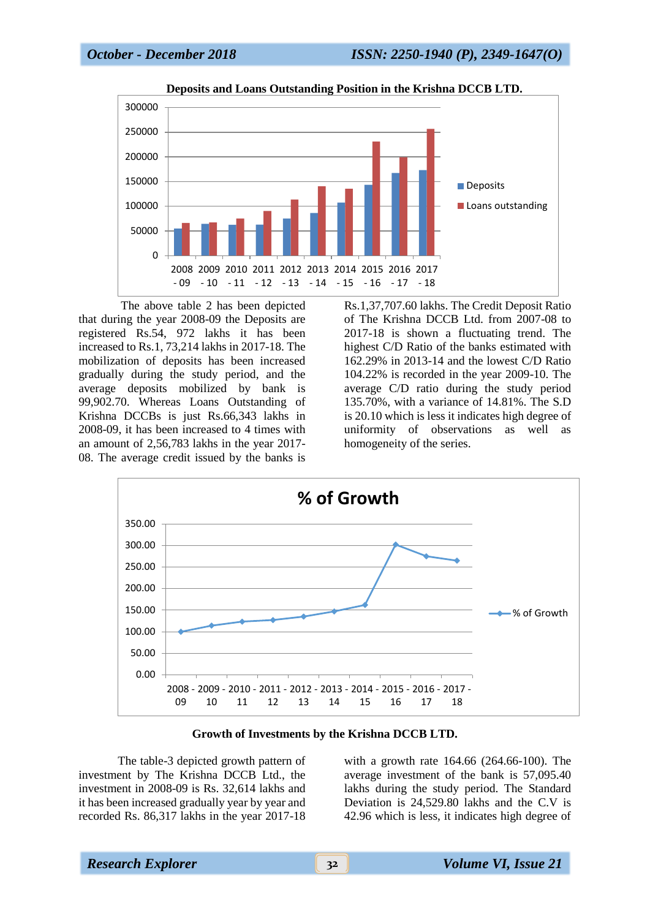

**Deposits and Loans Outstanding Position in the Krishna DCCB LTD.**

The above table 2 has been depicted that during the year 2008-09 the Deposits are registered Rs.54, 972 lakhs it has been increased to Rs.1, 73,214 lakhs in 2017-18. The mobilization of deposits has been increased gradually during the study period, and the average deposits mobilized by bank is 99,902.70. Whereas Loans Outstanding of Krishna DCCBs is just Rs.66,343 lakhs in 2008-09, it has been increased to 4 times with an amount of 2,56,783 lakhs in the year 2017- 08. The average credit issued by the banks is

Rs.1,37,707.60 lakhs. The Credit Deposit Ratio of The Krishna DCCB Ltd. from 2007-08 to 2017-18 is shown a fluctuating trend. The highest C/D Ratio of the banks estimated with 162.29% in 2013-14 and the lowest C/D Ratio 104.22% is recorded in the year 2009-10. The average C/D ratio during the study period 135.70%, with a variance of 14.81%. The S.D is 20.10 which is less it indicates high degree of uniformity of observations as well as homogeneity of the series.



### **Growth of Investments by the Krishna DCCB LTD.**

The table-3 depicted growth pattern of investment by The Krishna DCCB Ltd., the investment in 2008-09 is Rs. 32,614 lakhs and it has been increased gradually year by year and recorded Rs. 86,317 lakhs in the year 2017-18

with a growth rate 164.66 (264.66-100). The average investment of the bank is 57,095.40 lakhs during the study period. The Standard Deviation is 24,529.80 lakhs and the C.V is 42.96 which is less, it indicates high degree of